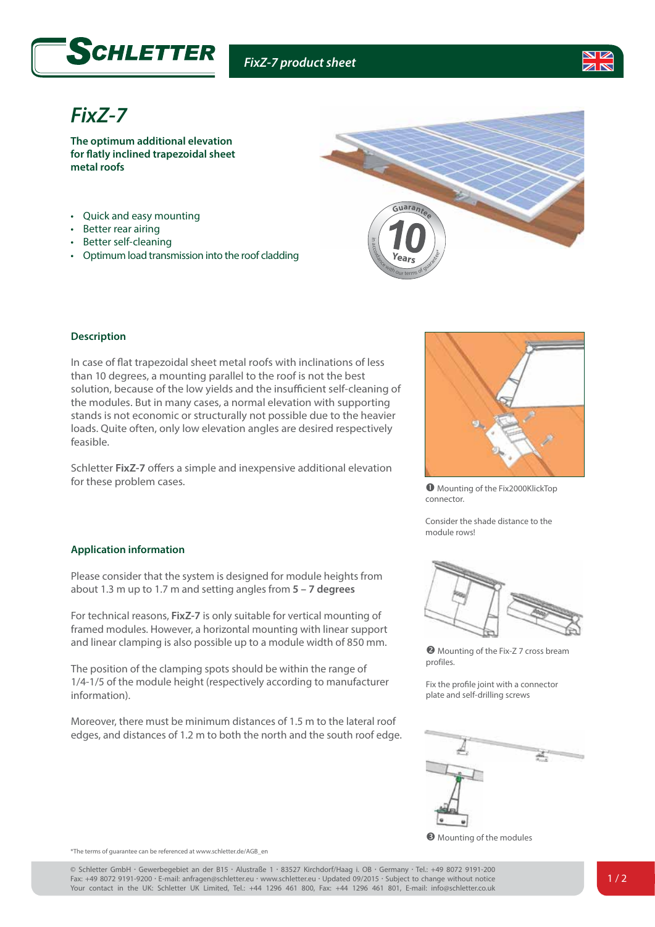



## *FixZ-7*

**The optimum additional elevation for flatly inclined trapezoidal sheet metal roofs**

- Quick and easy mounting
- Better rear airing
- Better self-cleaning
- Optimum load transmission into the roof cladding



## **Description**

In case of flat trapezoidal sheet metal roofs with inclinations of less than 10 degrees, a mounting parallel to the roof is not the best solution, because of the low yields and the insufficient self-cleaning of the modules. But in many cases, a normal elevation with supporting stands is not economic or structurally not possible due to the heavier loads. Quite often, only low elevation angles are desired respectively feasible.

Schletter **FixZ-7** offers a simple and inexpensive additional elevation for these problem cases.



 $\bullet$  Mounting of the Fix2000KlickTop connector.

Consider the shade distance to the module rows!

## **Application information**

Please consider that the system is designed for module heights from about 1.3 m up to 1.7 m and setting angles from **5 – 7 degrees**

For technical reasons, **FixZ-7** is only suitable for vertical mounting of framed modules. However, a horizontal mounting with linear support and linear clamping is also possible up to a module width of 850 mm.

The position of the clamping spots should be within the range of 1/4-1/5 of the module height (respectively according to manufacturer information).

Moreover, there must be minimum distances of 1.5 m to the lateral roof edges, and distances of 1.2 m to both the north and the south roof edge.



**2** Mounting of the Fix-Z 7 cross bream profiles.

Fix the profile joint with a connector plate and self-drilling screws



**O** Mounting of the modules

\*The terms of guarantee can be referenced at www.schletter.de/AGB\_en

© Schletter GmbH *•* Gewerbegebiet an der B15 *•* Alustraße 1 *•* 83527 Kirchdorf/Haag i. OB *•* Germany *•* Tel.: +49 8072 9191-200 Fax: +49 8072 9191-9200 *•* E-mail: anfragen@schletter.eu *•* www.schletter.eu *•* Updated 09/2015 *•* Subject to change without notice Your contact in the UK: Schletter UK Limited, Tel.: +44 1296 461 800, Fax: +44 1296 461 801, E-mail: info@schletter.co.uk